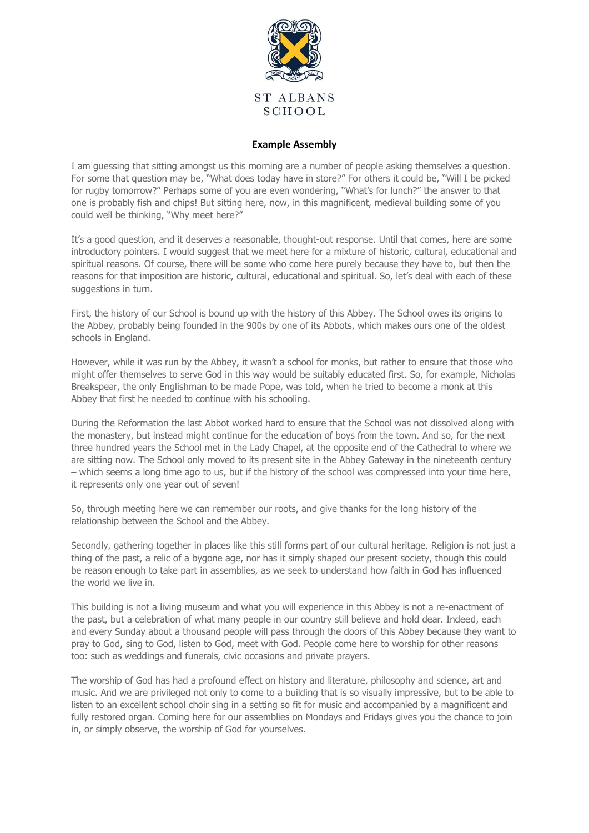

## **Example Assembly**

I am guessing that sitting amongst us this morning are a number of people asking themselves a question. For some that question may be, "What does today have in store?" For others it could be, "Will I be picked for rugby tomorrow?" Perhaps some of you are even wondering, "What's for lunch?" the answer to that one is probably fish and chips! But sitting here, now, in this magnificent, medieval building some of you could well be thinking, "Why meet here?"

It's a good question, and it deserves a reasonable, thought-out response. Until that comes, here are some introductory pointers. I would suggest that we meet here for a mixture of historic, cultural, educational and spiritual reasons. Of course, there will be some who come here purely because they have to, but then the reasons for that imposition are historic, cultural, educational and spiritual. So, let's deal with each of these suggestions in turn.

First, the history of our School is bound up with the history of this Abbey. The School owes its origins to the Abbey, probably being founded in the 900s by one of its Abbots, which makes ours one of the oldest schools in England.

However, while it was run by the Abbey, it wasn't a school for monks, but rather to ensure that those who might offer themselves to serve God in this way would be suitably educated first. So, for example, Nicholas Breakspear, the only Englishman to be made Pope, was told, when he tried to become a monk at this Abbey that first he needed to continue with his schooling.

During the Reformation the last Abbot worked hard to ensure that the School was not dissolved along with the monastery, but instead might continue for the education of boys from the town. And so, for the next three hundred years the School met in the Lady Chapel, at the opposite end of the Cathedral to where we are sitting now. The School only moved to its present site in the Abbey Gateway in the nineteenth century – which seems a long time ago to us, but if the history of the school was compressed into your time here, it represents only one year out of seven!

So, through meeting here we can remember our roots, and give thanks for the long history of the relationship between the School and the Abbey.

Secondly, gathering together in places like this still forms part of our cultural heritage. Religion is not just a thing of the past, a relic of a bygone age, nor has it simply shaped our present society, though this could be reason enough to take part in assemblies, as we seek to understand how faith in God has influenced the world we live in.

This building is not a living museum and what you will experience in this Abbey is not a re-enactment of the past, but a celebration of what many people in our country still believe and hold dear. Indeed, each and every Sunday about a thousand people will pass through the doors of this Abbey because they want to pray to God, sing to God, listen to God, meet with God. People come here to worship for other reasons too: such as weddings and funerals, civic occasions and private prayers.

The worship of God has had a profound effect on history and literature, philosophy and science, art and music. And we are privileged not only to come to a building that is so visually impressive, but to be able to listen to an excellent school choir sing in a setting so fit for music and accompanied by a magnificent and fully restored organ. Coming here for our assemblies on Mondays and Fridays gives you the chance to join in, or simply observe, the worship of God for yourselves.